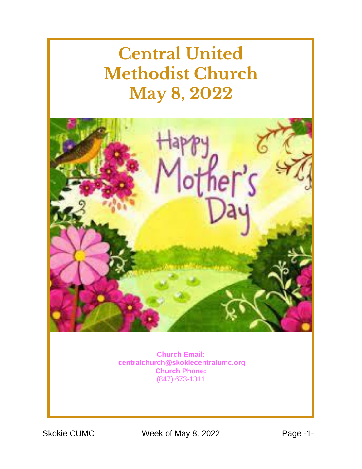# **Central United Methodist Church May 8, 2022**



**Church Email: [centralchurch@skokiecentralumc.org](mailto:centralchurch@skokiecentralumc.org) Church Phone:** (847) 673-1311

Skokie CUMC Week of May 8, 2022 Page -1-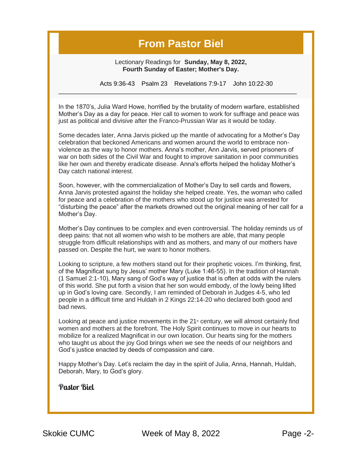#### **From Pastor Biel**

Lectionary Readings for **Sunday, May 8, 2022, Fourth Sunday of Easter; Mother's Day.**

Acts 9:36-43 Psalm 23 Revelations 7:9-17 John 10:22-30

In the 1870's, Julia Ward Howe, horrified by the brutality of modern warfare, established Mother's Day as a day for peace. Her call to women to work for suffrage and peace was just as political and divisive after the Franco-Prussian War as it would be today.

 $\_$  ,  $\_$  ,  $\_$  ,  $\_$  ,  $\_$  ,  $\_$  ,  $\_$  ,  $\_$  ,  $\_$  ,  $\_$  ,  $\_$  ,  $\_$  ,  $\_$  ,  $\_$  ,  $\_$  ,  $\_$  ,  $\_$  ,  $\_$  ,  $\_$  ,  $\_$  ,  $\_$  ,  $\_$  ,  $\_$  ,  $\_$  ,  $\_$  ,  $\_$  ,  $\_$  ,  $\_$  ,  $\_$  ,  $\_$  ,  $\_$  ,  $\_$  ,  $\_$  ,  $\_$  ,  $\_$  ,  $\_$  ,  $\_$  ,

Some decades later, Anna Jarvis picked up the mantle of advocating for a Mother's Day celebration that beckoned Americans and women around the world to embrace nonviolence as the way to honor mothers. Anna's mother, Ann Jarvis, served prisoners of war on both sides of the Civil War and fought to improve sanitation in poor communities like her own and thereby eradicate disease. Anna's efforts helped the holiday Mother's Day catch national interest.

Soon, however, with the commercialization of Mother's Day to sell cards and flowers, Anna Jarvis protested against the holiday she helped create. Yes, the woman who called for peace and a celebration of the mothers who stood up for justice was arrested for "disturbing the peace" after the markets drowned out the original meaning of her call for a Mother's Day.

Mother's Day continues to be complex and even controversial. The holiday reminds us of deep pains: that not all women who wish to be mothers are able, that many people struggle from difficult relationships with and as mothers, and many of our mothers have passed on. Despite the hurt, we want to honor mothers.

Looking to scripture, a few mothers stand out for their prophetic voices. I'm thinking, first, of the Magnificat sung by Jesus' mother Mary (Luke 1:46-55). In the tradition of Hannah (1 Samuel 2:1-10), Mary sang of God's way of justice that is often at odds with the rulers of this world. She put forth a vision that her son would embody, of the lowly being lifted up in God's loving care. Secondly, I am reminded of Deborah in Judges 4-5, who led people in a difficult time and Huldah in 2 Kings 22:14-20 who declared both good and bad news.

Looking at peace and justice movements in the  $21<sup>{st}</sup>$  century, we will almost certainly find women and mothers at the forefront. The Holy Spirit continues to move in our hearts to mobilize for a realized Magnificat in our own location. Our hearts sing for the mothers who taught us about the joy God brings when we see the needs of our neighbors and God's justice enacted by deeds of compassion and care.

Happy Mother's Day. Let's reclaim the day in the spirit of Julia, Anna, Hannah, Huldah, Deborah, Mary, to God's glory.

**Pastor Biel**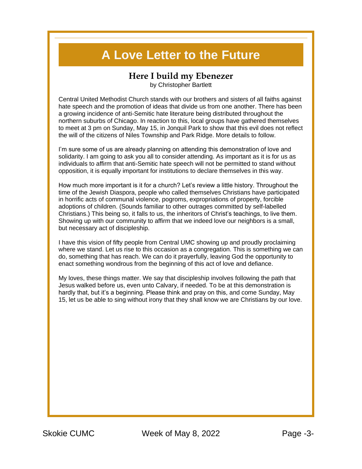### **A Love Letter to the Future**

#### **Here I build my Ebenezer**

by Christopher Bartlett

Central United Methodist Church stands with our brothers and sisters of all faiths against hate speech and the promotion of ideas that divide us from one another. There has been a growing incidence of anti-Semitic hate literature being distributed throughout the northern suburbs of Chicago. In reaction to this, local groups have gathered themselves to meet at 3 pm on Sunday, May 15, in Jonquil Park to show that this evil does not reflect the will of the citizens of Niles Township and Park Ridge. More details to follow.

I'm sure some of us are already planning on attending this demonstration of love and solidarity. I am going to ask you all to consider attending. As important as it is for us as individuals to affirm that anti-Semitic hate speech will not be permitted to stand without opposition, it is equally important for institutions to declare themselves in this way.

How much more important is it for a church? Let's review a little history. Throughout the time of the Jewish Diaspora, people who called themselves Christians have participated in horrific acts of communal violence, pogroms, expropriations of property, forcible adoptions of children. (Sounds familiar to other outrages committed by self-labelled Christians.) This being so, it falls to us, the inheritors of Christ's teachings, to live them. Showing up with our community to affirm that we indeed love our neighbors is a small, but necessary act of discipleship.

I have this vision of fifty people from Central UMC showing up and proudly proclaiming where we stand. Let us rise to this occasion as a congregation. This is something we can do, something that has reach. We can do it prayerfully, leaving God the opportunity to enact something wondrous from the beginning of this act of love and defiance.

My loves, these things matter. We say that discipleship involves following the path that Jesus walked before us, even unto Calvary, if needed. To be at this demonstration is hardly that, but it's a beginning. Please think and pray on this, and come Sunday, May 15, let us be able to sing without irony that they shall know we are Christians by our love.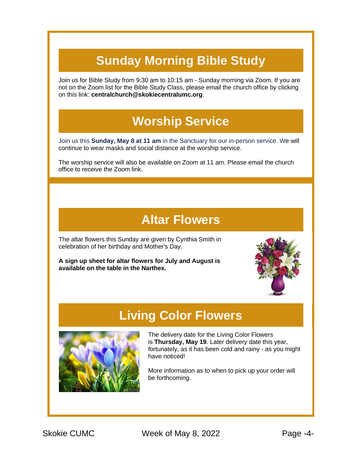## **Sunday Morning Bible Study**

Join us for Bible Study from 9:30 am to 10:15 am - Sunday morning via Zoom. If you are not on the Zoom list for the Bible Study Class, please email the church office by clicking on this link: **[centralchurch@skokiecentralumc.org](mailto:centralchurch@skokiecentralumc.org)**.

### **Worship Service**

Join us this **Sunday, May 8 at 11 am** in the Sanctuary for our in-person service. We will continue to wear masks and social distance at the worship service.

The worship service will also be available on Zoom at 11 am. Please email the church office to receive the Zoom link.

#### **Altar Flowers**

The altar flowers this Sunday are given by Cynthia Smith in celebration of her birthday and Mother's Day.

**A sign up sheet for altar flowers for July and August is available on the table in the Narthex.**



### **Living Color Flowers**



The delivery date for the Living Color Flowers is **Thursday, May 19**. Later delivery date this year, fortunately, as it has been cold and rainy - as you might have noticed!

More information as to when to pick up your order will be forthcoming.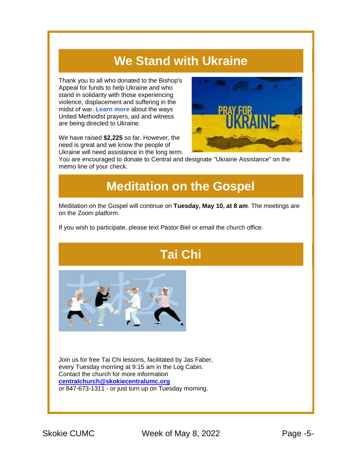### **We Stand with Ukraine**

Thank you to all who donated to the Bishop's Appeal for funds to help Ukraine and who stand in solidarity with those experiencing violence, displacement and suffering in the midst of war. **[Learn more](https://r20.rs6.net/tn.jsp?f=001ZJdhT3cEUTPj-OcXukoX2oExhxzSxDOfRnfHa4EsgOeacXDYMz6ie34bgVPmJbjuFFYydEnqQeSOTAByNMGPSBwG1JmT1x2rNdRJ0QLHLZI5GyhzwHqoVQ_IMHiW76pBweTBFv3V_-PX4JMVQUNjtyCw11SqTsaBr83B0S9xRyMAiXGAeV9ni-5EEXEgg_fVayHsHf2FRFIzGpdNmu_M-MJwBpRCoRwV8KWDmvTx63-sIUMneP6qnZaFeGtUDJnxJvhjwxw4uSQTNN28ilSyXOddP5XGlXwwFiiTN2MItbiMY04iIl9HsEv6LOMIRylefcADOeny5AsJ-p8LLud6vbyRRTp6Qa_nuPAeu1rEj9s7mUDYll3i69jcjwqDeZFdpYpbYca71nEzcWQ4rpH1XUJ-9pW5IDcaybwFIyUvwJBpVaVaszJQTWjyUTdKYzm5ZFn8Mbt81p-js5Zc0_LI3o7kcGpQ31YMXO3is7INFcITk_epZZb-S0SxC8ZGScYPqYm67qG5sHPoY0K2-CxQ0UP26bBGr1wL7DEgDq4-KXZsKcoIw0_qng==&c=V7OrDWWNi29Mh_yNmK0lEz7Ig1_8fwzK_Ys9Jsa-zbj3QsPTwtGeig==&ch=Gi8OOTGYMtv3ZLLx-9HXBvCvsqGKFhXmZyxmNjK8Kir9fqOd8eiesQ==)** about the ways United Methodist prayers, aid and witness are being directed to Ukraine.

We have raised **\$2,225** so far. However, the need is great and we know the people of Ukraine will need assistance in the long term.



You are encouraged to donate to Central and designate "Ukraine Assistance" on the memo line of your check.

### **Meditation on the Gospel**

Meditation on the Gospel will continue on **Tuesday, May 10, at 8 am**. The meetings are on the Zoom platform.

If you wish to participate, please text Pastor Biel or email the church office.

## **Tai Chi**



Join us for free Tai Chi lessons, facilitated by Jas Faber, every Tuesday morning at 9:15 am in the Log Cabin. Contact the church for more information **[centralchurch@skokiecentralumc.org](mailto:centralchurch@skokiecentralumc.org)** or 847-673-1311 - or just turn up on Tuesday morning.

Skokie CUMC Week of May 8, 2022 Page -5-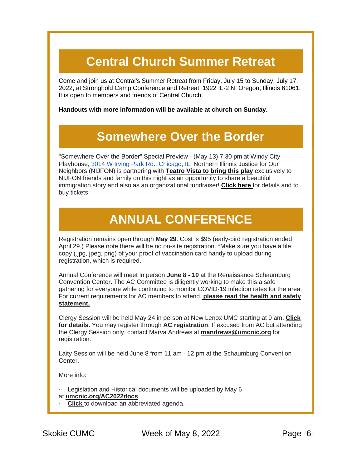## **Central Church Summer Retreat**

Come and join us at Central's Summer Retreat from Friday, July 15 to Sunday, July 17, 2022, at Stronghold Camp Conference and Retreat, 1922 IL-2 N. Oregon, Illinois 61061. It is open to members and friends of Central Church.

**Handouts with more information will be available at church on Sunday.**

#### **Somewhere Over the Border**

"Somewhere Over the Border" Special Preview - (May 13) 7:30 pm at Windy City Playhouse, [3014 W Irving Park Rd., Chicago, IL.](https://www.google.com/maps/search/3014+W+Irving+Park+Rd.,+Chicago,+IL?entry=gmail&source=g) Northern Illinois Justice for Our Neighbors (NIJFON) is partnering with **[Teatro Vista to bring this play](https://r20.rs6.net/tn.jsp?f=001ZJdhT3cEUTPj-OcXukoX2oExhxzSxDOfRnfHa4EsgOeacXDYMz6ie145GiZGW8Dds5zMKMvN0dCYt-pIedEyLYA9bBT-v0O_E0z1iMY3caKo0B0VMg_I7h9UoqxqZGfBbbfjwx6ioEHKB0dfWkl3xoOE2hktq1qBvAaeqxwbbuhJA5zpAjgzycVQMPUN-GBMVGZu3xUcmgxorHIDsTw8BSjooMBfbi3H_ZUZr2d-3kYcitEwZ4k14mgfG5I8_tQgqkTht9xjl0ImT0yl2FikgGziC-Sz1_CU8OygPX5iz2kRpE2nxZ6Md0g2I1Om2iv0RXHYZOIB7l0Vb2bacbXFgXgLtK4Nnbh4e8Fl7JXcSiFSzJvwXuIlCf6eBdZFAEVEukz3WTlNVYmvpuWh6w7Yq088fOufdT-EIrgsFSb06r9-8OA05E3WuzrO5-Lm_300_RNihLhGtXJ5t10tS-BC2oIX4eOzAV_Lk2WRok3f9M1-60sAHMcnHmRyyvQYnQh6govFpAphTXvlPvbWOj6n6orXpgfMkbFfDzMZ2z13q4xwu2Ny3xM4CgO83XdhM2hurNqCaXqKIvtP0Fi7Vab05xcHgmXcqm87Mbxk1qd5AHWiVDMyl7ujJZZJQEfZcn-7kj7jhviHAzd2YaD_xIZOMx8gSLbWUGyRzoJPyOG_1SM7Z4lfJiSbBrqiMAfK-l29KQQSh460j-ScEDAB7qH8dbhMF-dm0FumKYp3lQkngvVMLiWpin6PwFg69PmFsHcWV9m28i_HGxoEoPVvaqh0DJl9O7pVksM_RO3yaTiZ4jfa8tCTm0ky6Vm_PGzzrkfX95xkyButqcLeGHHHqM5YFlenArSxYhwOGrW4CtSZ9jaYP6XLOMDYSt2qqaCO8aqklvOMSt_DEO_IjFy803fYd0rnUFU7rlcBwvpPZ4Hf8b1oU9lCAZ0zk8t9ULmBaC2OE5hWZrQHU3B__rOA1eqsO_kGdkzu9EvTulCVhS6lcROF6LcGYCJPl4WLtWMow6QE2ZW1ZxD2B1VsOXjlOslwtFsem_lThi0R1E0_FrEZ2ShVOnI8Z7y-gMUq9ROstuDhZmDVGHimJty0jSNE6MxwUabuXj4Rr4Mjo3gCGb3-OuzRBQIkTDCfIAOazPgmU4_L_LWbpPJWvlE=&c=V7OrDWWNi29Mh_yNmK0lEz7Ig1_8fwzK_Ys9Jsa-zbj3QsPTwtGeig==&ch=Gi8OOTGYMtv3ZLLx-9HXBvCvsqGKFhXmZyxmNjK8Kir9fqOd8eiesQ==)** exclusively to NIJFON friends and family on this night as an opportunity to share a beautiful immigration story and also as an organizational fundraiser! **[Click here](https://r20.rs6.net/tn.jsp?f=001ZJdhT3cEUTPj-OcXukoX2oExhxzSxDOfRnfHa4EsgOeacXDYMz6ie145GiZGW8DdbLdcN75j-mWfuvJ1uicbLUI_-fGLaQy5N6-Pvs2pAIQR3jDvQo7VYDiMlJy52zGR9Qc-m0yQrUklmy_khAP53ymaGbbvxvJGwuxrmJYF3wEjLZj22dSkod4Ai5EQ9e_RzqXzAHRY2oEWE6cv20OvxUqqyCakTS1wOVDbbUOo09SlYF0KS6UADI2m1V5mWZKC6uUU3FcyBWmVgqG1byeuS8WKJokGZYn4claWcjrf-QmCzSF_4dHI63hU6qIXDeA7E2eErfuApisi0Dz94kOi5ZdV7EAGkwu0BPYrcdlmC-ugEH-Z-C8T85yrpk7q1n4QSrent2G0FqpxYEBht9lnkRYWob3KeZ7xlno9KoBKjzbGvhyWefiQIPQQ0Xz-BGDz-R7g12UvYpEapv0sTgs3xm76_BnaU9rQ7anmqHUg-1bsugAt2P_rV_mL4P5td6tu2L5kWI-1PAnytyRP00n7gFCuWGAB1uTOueMlEUPNOCzQ40aTxUIQDoT8VTKiUGDXKQ4NTYGPNOtja7XgSvt_KiOVVtB2T95OlCPlmStwRFCGWNUxT7zgsDn5FJ8c1VEvLadO2L8S9P5QYQ4R1-xsyekO768HvgH9h0dMWHcglyV6dsqEq76NgJcfBqbtp0RCd2HoYe8RY5swuRtEs_1Ej3Z_3YPLCPd67KLt0Th7mlU31jD82Mzc_QxaWhD8pdDYAP4C-beeyAdKvaQVSauZwstg_9g9Ov5MH-hOQVSLfY-8cbe4fooUdsSWNjlifwOyeQgfXgQyG5J9giUCNJlnXpkqAwDnPtMGTQaLLBCt63375nNUfxJmOXx6low5kJjOKqcI7KdoIGq8Ocg4FkfMKXCuIv1fI0DfGv3ZJXSOJHh6VVOVlwJQfgf844HEO6Kn4B6RqYkXXi-LZwkjPENls7sSjM2U4fspd45SQw0-QJwiWSyRiszf3I0-cCCb6BNlwYAqrgRFVqfa4ITxZzyAQe09bq6w-koKxs7eYB3-seE7RmvyPzhXdsOMQaUo63-2pgoixl5adaJZnXP0RtXOPKGOnQWCofxhiHx72u2E6FaiTfnvpLJHAXnfuuorAxlYlrvquDkYyfFUHztr1rItLg0ro4LOdrAy1O1kbD7H5907OCSt51g0X37hclTG3_rneod9ckbph-J0BMAnE8AptRlm8kolCSD4POhIBreAAeWvv_ZUigAHnz3BAO0tzGiPKf6HAIVuT5TlKEE28TedYJZUdWW_Y2Q6MQ5bbjxFl2UY4sHiEaclRc0g-YHj6ijy&c=V7OrDWWNi29Mh_yNmK0lEz7Ig1_8fwzK_Ys9Jsa-zbj3QsPTwtGeig==&ch=Gi8OOTGYMtv3ZLLx-9HXBvCvsqGKFhXmZyxmNjK8Kir9fqOd8eiesQ==)** for details and to buy tickets.

## **ANNUAL CONFERENCE**

Registration remains open through **May 29**. Cost is \$95 (early-bird registration ended April 29.) Please note there will be no on-site registration. \*Make sure you have a file copy (.jpg, jpeg, png) of your proof of vaccination card handy to upload during registration, which is required.

Annual Conference will meet in person **June 8 - 10** at the Renaissance Schaumburg Convention Center. The AC Committee is diligently working to make this a safe gathering for everyone while continuing to monitor COVID-19 infection rates for the area. For current requirements for AC members to attend, **[please read the health and safety](https://r20.rs6.net/tn.jsp?f=001ZJdhT3cEUTPj-OcXukoX2oExhxzSxDOfRnfHa4EsgOeacXDYMz6ie4BzVu3v7te4UOs3nlfB2g290jxeQFAxVhhvcE76ltjUNwar-O6vwM7QZW4O9gxeB0u0GpONJ2yT02tZ5M1AaJ-ggphJDND9tSMARNQg39sIsOLxzn5gZU85r8UqTf_zC_LiNbhjvhxyvSWhGBax536hofw0IqMG5hBiibogGMFDdxMsfmxN2X5XOsk-VwFJYE19q4-0LNpDgQLsHbLa8cOnR2yr0jrCIdqgA5sHHagusOuwJfcKI-KI_W-kbZbb0YFcXIauYrXS_K6AQLY0v4XvyQHIcMtJ_iWbp5-Ob8yyLQKkbTeNJ0VSCQ87KFTpME7uODp3ax5v1Ttci6RCW1fKuEeiRTk1SqlLjcfVzVqZKYTQplx6Vo5gDNoSC9A_DOtHAOeZtapreE5fY3LhVGWxijJHlA-qi4rL3OnTGbr57M8GI27q6gBtzj_PzlPBWPaAwtqlCXU6Gw-iCLV2iv812bjqYO0svxglulgR9HHUNoICGno_rWEyvfaUFxwRRrCr7SL5gNwsXbUs2atpNuXZtkr3BzYXn_lvM_J8w-jlziUTFXjek-i6OoKmmp4lVkK5nUd6Yeu0LvE2-eWtbo4QmFj7mgcC3OY2YGs-NZrYNpj4nDeHOwxSHal2CkF2Mn7wK2KTCcu9zZRn7-6xpQXCeGkDqgVh9uSNO-lE7u0s_n7ed21LIDVsKK3EWXqqtUp4_ZF4uTGn1yFoipbEQw9ve0Z3NFOitTfViFyMl-MKF904ExdhmovIbJ-fe6xrKJVeJM12Z_D4s2XZLthnPKQmL08XACO7ljBxfnwm_TyyIhXW8jl15UF2k-1XlJaN1ERDYVZslAYbM5Cfk1PBd03cLIILM5ZegEZP6m_vaBBsb3eT44cO4eKTAbJohFzanM-8WDOEFVxTJWbamFeEFnnka1KhOa1003X3nkO181PjRkUDeAtK-X9sh8LdH07nfISR2MwF4x30SAI1da9F7Xic_bLPVW6CwShZNSfR_eOF2uykLQkQfnNJ9JrJYJVrF1nQphIcwtDWD5kqthj-KyDQZ6-Pll1MEYu01YgGAijOJIxWJ5dOSAfS-UBggwA5Bj0-RSJ3xX121aKBqLmwQER3OJQiJTL-EvbiV2LaQkthUHqepuwcr_IIM4TBqMA8MVawQQNp0gzFpHjenA5k9IgqKm834F5hkMv-UuFHEMsm&c=V7OrDWWNi29Mh_yNmK0lEz7Ig1_8fwzK_Ys9Jsa-zbj3QsPTwtGeig==&ch=Gi8OOTGYMtv3ZLLx-9HXBvCvsqGKFhXmZyxmNjK8Kir9fqOd8eiesQ==)  [statement.](https://r20.rs6.net/tn.jsp?f=001ZJdhT3cEUTPj-OcXukoX2oExhxzSxDOfRnfHa4EsgOeacXDYMz6ie4BzVu3v7te4UOs3nlfB2g290jxeQFAxVhhvcE76ltjUNwar-O6vwM7QZW4O9gxeB0u0GpONJ2yT02tZ5M1AaJ-ggphJDND9tSMARNQg39sIsOLxzn5gZU85r8UqTf_zC_LiNbhjvhxyvSWhGBax536hofw0IqMG5hBiibogGMFDdxMsfmxN2X5XOsk-VwFJYE19q4-0LNpDgQLsHbLa8cOnR2yr0jrCIdqgA5sHHagusOuwJfcKI-KI_W-kbZbb0YFcXIauYrXS_K6AQLY0v4XvyQHIcMtJ_iWbp5-Ob8yyLQKkbTeNJ0VSCQ87KFTpME7uODp3ax5v1Ttci6RCW1fKuEeiRTk1SqlLjcfVzVqZKYTQplx6Vo5gDNoSC9A_DOtHAOeZtapreE5fY3LhVGWxijJHlA-qi4rL3OnTGbr57M8GI27q6gBtzj_PzlPBWPaAwtqlCXU6Gw-iCLV2iv812bjqYO0svxglulgR9HHUNoICGno_rWEyvfaUFxwRRrCr7SL5gNwsXbUs2atpNuXZtkr3BzYXn_lvM_J8w-jlziUTFXjek-i6OoKmmp4lVkK5nUd6Yeu0LvE2-eWtbo4QmFj7mgcC3OY2YGs-NZrYNpj4nDeHOwxSHal2CkF2Mn7wK2KTCcu9zZRn7-6xpQXCeGkDqgVh9uSNO-lE7u0s_n7ed21LIDVsKK3EWXqqtUp4_ZF4uTGn1yFoipbEQw9ve0Z3NFOitTfViFyMl-MKF904ExdhmovIbJ-fe6xrKJVeJM12Z_D4s2XZLthnPKQmL08XACO7ljBxfnwm_TyyIhXW8jl15UF2k-1XlJaN1ERDYVZslAYbM5Cfk1PBd03cLIILM5ZegEZP6m_vaBBsb3eT44cO4eKTAbJohFzanM-8WDOEFVxTJWbamFeEFnnka1KhOa1003X3nkO181PjRkUDeAtK-X9sh8LdH07nfISR2MwF4x30SAI1da9F7Xic_bLPVW6CwShZNSfR_eOF2uykLQkQfnNJ9JrJYJVrF1nQphIcwtDWD5kqthj-KyDQZ6-Pll1MEYu01YgGAijOJIxWJ5dOSAfS-UBggwA5Bj0-RSJ3xX121aKBqLmwQER3OJQiJTL-EvbiV2LaQkthUHqepuwcr_IIM4TBqMA8MVawQQNp0gzFpHjenA5k9IgqKm834F5hkMv-UuFHEMsm&c=V7OrDWWNi29Mh_yNmK0lEz7Ig1_8fwzK_Ys9Jsa-zbj3QsPTwtGeig==&ch=Gi8OOTGYMtv3ZLLx-9HXBvCvsqGKFhXmZyxmNjK8Kir9fqOd8eiesQ==)**

Clergy Session will be held May 24 in person at New Lenox UMC starting at 9 am. **[Click](https://r20.rs6.net/tn.jsp?f=001ZJdhT3cEUTPj-OcXukoX2oExhxzSxDOfRnfHa4EsgOeacXDYMz6ie4BzVu3v7te4TEGicmAZd5Y1EvBu-7SIKbGvRTUKG6VSQiBQpBTfl_wY00fgQqkAtmcxdtKhF-Xr6EQNBfPBZiYgjvtK92EmsxaPQdJplbrF3wZinENLGO4bs0kkA4u5itxOPIURB6ENeV1_wNzRA7ni8TjjP2hRSRgjau0Yka6YgwTx1bm2saCD10ApSYo5bRnZcgXi3lh9l4ht-6RsbqgPKjMBYGN6LzDlMZ8AF3y6Xo0sT0erQnSdPVWg4umUgU9Kb6DneQ5Tl0ojXSkcxHSJKzivOiVGeoHUDnWXoSMqho2GP3sXAoCRP1qVH6HvED6OUKraJoLdTyvDX8aBjOfIMEj3aMDDcREuuDQBnYVF9ekKWb7So8OtwxdOaz27GDGokT3p-6Lv3cucTv3ioE6USsDnXW-gU5suulHQtsQf2n6yAjXt6Jd0_RpeF5PkZJ8-aVpcpweto1qlQyIFWTWOxBhChX9A-Ce9rxPAOrt5xQSKi0D1Cm-d4FpCHZZDNrQTYdtf7ohpXiMadxzCIoKKFbAdRjwyfo5394Em7HKyUroprkfQaicBYl3HLbHYC9qEdOcQKUWvZNMoROfNB5eaUeSG12Fak63g0069hL7A43Mi79thvxDGQu4KyDiBmnOlMk2O2wMRvYfRZff5QqCI8kznFpaen9KMHgaz6AyhPCs7TFLPo8vlpNqATWzsYH7MM9AYFu7Rgy5bTi5VdbWD5uf2BPe0dhkUo9HiuAg-w61mF3T9LwyE5zK69gbCbIM8UKKHxV3Tc1qlocAuL_X3T5r8OgDNE4IxR92LkR0tt69LdUJbXsRF3ukL7m5QgLWR5dTEuefRNeF_wsAAzg_DL47HQAWJ4UCv40ziWLQOEIpU9d0pXZWdx2lVe2rtvdZgK6r3Bu7IDU0JKZ2I6HkORQORJbIVaiNuaUnJ119mJkhhaBEgdAH0VnTYkWU2AaQ_OCS0ge6pQnU5iKJQuxKD3yTKjamYMi4R3LOcq-HHABDjI-JnALJWluuTXUDp6rpy6axNbXd5z-k-KDhTE7TjNAjBP-eyM5QV2AvQk2lcORSCoJrziENJ5q_mhrdrm3AA0jbf3lI3XAoZ_5Fu1qk=&c=V7OrDWWNi29Mh_yNmK0lEz7Ig1_8fwzK_Ys9Jsa-zbj3QsPTwtGeig==&ch=Gi8OOTGYMtv3ZLLx-9HXBvCvsqGKFhXmZyxmNjK8Kir9fqOd8eiesQ==)  [for details.](https://r20.rs6.net/tn.jsp?f=001ZJdhT3cEUTPj-OcXukoX2oExhxzSxDOfRnfHa4EsgOeacXDYMz6ie4BzVu3v7te4TEGicmAZd5Y1EvBu-7SIKbGvRTUKG6VSQiBQpBTfl_wY00fgQqkAtmcxdtKhF-Xr6EQNBfPBZiYgjvtK92EmsxaPQdJplbrF3wZinENLGO4bs0kkA4u5itxOPIURB6ENeV1_wNzRA7ni8TjjP2hRSRgjau0Yka6YgwTx1bm2saCD10ApSYo5bRnZcgXi3lh9l4ht-6RsbqgPKjMBYGN6LzDlMZ8AF3y6Xo0sT0erQnSdPVWg4umUgU9Kb6DneQ5Tl0ojXSkcxHSJKzivOiVGeoHUDnWXoSMqho2GP3sXAoCRP1qVH6HvED6OUKraJoLdTyvDX8aBjOfIMEj3aMDDcREuuDQBnYVF9ekKWb7So8OtwxdOaz27GDGokT3p-6Lv3cucTv3ioE6USsDnXW-gU5suulHQtsQf2n6yAjXt6Jd0_RpeF5PkZJ8-aVpcpweto1qlQyIFWTWOxBhChX9A-Ce9rxPAOrt5xQSKi0D1Cm-d4FpCHZZDNrQTYdtf7ohpXiMadxzCIoKKFbAdRjwyfo5394Em7HKyUroprkfQaicBYl3HLbHYC9qEdOcQKUWvZNMoROfNB5eaUeSG12Fak63g0069hL7A43Mi79thvxDGQu4KyDiBmnOlMk2O2wMRvYfRZff5QqCI8kznFpaen9KMHgaz6AyhPCs7TFLPo8vlpNqATWzsYH7MM9AYFu7Rgy5bTi5VdbWD5uf2BPe0dhkUo9HiuAg-w61mF3T9LwyE5zK69gbCbIM8UKKHxV3Tc1qlocAuL_X3T5r8OgDNE4IxR92LkR0tt69LdUJbXsRF3ukL7m5QgLWR5dTEuefRNeF_wsAAzg_DL47HQAWJ4UCv40ziWLQOEIpU9d0pXZWdx2lVe2rtvdZgK6r3Bu7IDU0JKZ2I6HkORQORJbIVaiNuaUnJ119mJkhhaBEgdAH0VnTYkWU2AaQ_OCS0ge6pQnU5iKJQuxKD3yTKjamYMi4R3LOcq-HHABDjI-JnALJWluuTXUDp6rpy6axNbXd5z-k-KDhTE7TjNAjBP-eyM5QV2AvQk2lcORSCoJrziENJ5q_mhrdrm3AA0jbf3lI3XAoZ_5Fu1qk=&c=V7OrDWWNi29Mh_yNmK0lEz7Ig1_8fwzK_Ys9Jsa-zbj3QsPTwtGeig==&ch=Gi8OOTGYMtv3ZLLx-9HXBvCvsqGKFhXmZyxmNjK8Kir9fqOd8eiesQ==)** You may register through **[AC registration](https://r20.rs6.net/tn.jsp?f=001ZJdhT3cEUTPj-OcXukoX2oExhxzSxDOfRnfHa4EsgOeacXDYMz6ie4BzVu3v7te4iOwNdtTV_y66G8r3NVZB5UgLLFnIh6BhNlopI9_3nE3cKi1K34PPetbTQ94sXq-VRUDsOzKWDhhBx4HnEa5y5ou6qlhVGPnXw48BUDCSbS7tCgfF2Dd1u9NMtuGdnDV-vnXEXtYjowpt9-IpaGirKD42jHmxv_v6fv-7d1x8zdQD9yQ5bRA985S-q06M0JOoRiKdHmPLAK3Xgt0_woDwmWJQd5syULumf1D9I7_SXwAixw1HQuAy5EgFBZb7UyBgDOcI7343mnf-guaOdIvYtM09xgGa1LzuV6-kg8X7i5onALi3MI_mW1udeFudQnhQ2HC6rDY2OlQfIAlg4owH7uVL7BlSO2MvHPXoN2yQGIfWn6rMxgVqqZ3O_2IqbPgZB3TjfTFlInWXO6WJ3cJAGt6_m3Xzwae0eRlIrROwHIQ_pEJjwaroshyuUs-pXGy7mQvu7qmzrhwuhDz9F0pCTodi2fal5xH3QUnCnPOWlDDGUIAykzOiGODEqjUV4vMlcOzVhSRY_4vnIoaujL0_BekiYGVKmC9amBnNMTSy96fU7e0G-YBKOcLCqlfJSi0rHWJOolBhGZ04HypCtGwfvvATLhKE09nA08QMcJS8WkyMgmexoUBeaFx5-p6jRkhi7WqS9u_Q1WN557-Pz3jJJOa0M6eNRW9kApLC7sWDOcCpeDVbP2oTKrDOJ6xU2VuO89NxcyHEeaaiQAZSPm6TK5vVqdqvCCPsrk0SHD5ODKBxksb1BRXiYZkajfJbC3DlGQktHyzi_7R3GSr3FGGJXMCIe4N5CIXJT73Hr5rrJfJxSPPc_dGZCphUMAuUAw_tyAXZ2P8_8rgHypqTSGqI6W7AtpvjaN-2c5jIliyy2OqIC0jIBfBtU3BU6TdpXvjq0YUzbLjeQHCdYis2owgSi2V5SNEGhk5RooTugw9a0qhtiTq_NFWkkKBrJd7aXhXwFQt6d0Y1oRqXksLanYoxPiIf1NMC6yFdDLz-Rhqf474in9i3Yuys7ZUYk_ND1RN7ePJifWNGFrAOlUnVL2CRliIly250KiBa&c=V7OrDWWNi29Mh_yNmK0lEz7Ig1_8fwzK_Ys9Jsa-zbj3QsPTwtGeig==&ch=Gi8OOTGYMtv3ZLLx-9HXBvCvsqGKFhXmZyxmNjK8Kir9fqOd8eiesQ==)**. If excused from AC but attending the Clergy Session only, contact Marva Andrews at **[mandrews@umcnic.org](mailto:mandrews@umcnic.org)** for registration.

Laity Session will be held June 8 from 11 am - 12 pm at the Schaumburg Convention Center.

More info:

· Legislation and Historical documents will be uploaded by May 6 at **[umcnic.org/AC2022docs](https://r20.rs6.net/tn.jsp?f=001ZJdhT3cEUTPj-OcXukoX2oExhxzSxDOfRnfHa4EsgOeacXDYMz6ie4BzVu3v7te4LWPgFRCpVc8GNCsp-80lZzTVpcvcrBI-2RQhk7wFUOFLMqwAt7Nk-YUZ_j8-Y-HHJfQOQSbZllQgBGdf09svzCgcT0sSANvRB0Zs9WoWacTVRBqWtNn702Uos1ENqmySonh_EsiwKFeCMSHKIdi0j7CohbInJNnu2aDZmWf0huNvx35rQt36k5M3XVRybUj1MaDXzY5g6qiRrskra6ZK5Vdj2pLSvJ9yAeYzxT4TlbqiX-21QvrDPyTlgygGwwbIXCeiBWVa_Sqy1X1VUF6-bgw_dfnXHWRR9-mxkkIzaB6WV1SU5drCV1VBe8ppInfKQvbB_Ic2B00s3iYW60sZ9V4gM43fst_JmYHq8DfQop0mtDgw9JzDCYixQLgJqYhAWKigkeFxZ_SgYHug5n2f30swFWHvHItz_8MZgKHKnqJg9E4xMbdViWbFvpLBfRmtJCpaBIGXrfymk1ovgp5IqS_5ClqF2APhysbgBUrU2hvyjnClnhWBLV-Xmc6sYHB_QmJ4P7pCscFTaQWCCE2OPx732oJob5AfFVzX7liqT6vmmkEDBF01kCz0PQJHL0tEA7YrgWS0IbKSxF4U_X59mU6ApnIRw5VHgg5Pr6vitYEW_vGd4ePj57_9jYQE_I5weDxS2ge1iulaeHtgTBOhbphrrh_pVL1OBdeKvHWSfNUEb_y2XXYryx_rl372Lz250RSAtasYLUrTrzK-jMcdTjYd73EzYExS4u4fU5D8DweRtoRAiV1_Vi1sYCmtonKkuWXm710iR2dS25S48vx0H26yd54oRPNSpS2MMqXD6o1bzv8hkb4gxc8lG3s7k_9ssOLUfm55yCdLQtKcCaU-zvJa0nUKgFaOFMgb2_keTRyuTO8Cw80AqTflekMbIQscs-HZg2_pRDJuuewLf5nZiymbgg8wFuQJ7BwSX9OvSH9cfl-gwlNy3ox0RH7hU0lRLg_3LoIUcPNCpq-GPm8tzAzEZoawJkmjr218plVdfOB_opEBvTtZdQHoUYYz0sYy6pmnEe6ivZbw4YZxC08rmyeZKe2T_01i&c=V7OrDWWNi29Mh_yNmK0lEz7Ig1_8fwzK_Ys9Jsa-zbj3QsPTwtGeig==&ch=Gi8OOTGYMtv3ZLLx-9HXBvCvsqGKFhXmZyxmNjK8Kir9fqOd8eiesQ==)**.

**[Click](https://r20.rs6.net/tn.jsp?f=001ZJdhT3cEUTPj-OcXukoX2oExhxzSxDOfRnfHa4EsgOeacXDYMz6ie4BzVu3v7te4tavGBz2IB8nsz1HSJRChKTPU5aQBrmE_tyhSdfe3CUmAb8EP_9noAKXFOrzO5UHSBsFcj9EZ876GZyQe-prLTK6Ckw0htHwPYuZiq8BPIkz5Eh0U65dWAcuW4GEIFG_ENkuHtzgY0nKUOIW9jBGt0DrbIYajWH2WvH18EsDoGh_HYZfL7YW9fqS9A3XIXTGH83gqhCfN6IntnApSCpX_PDP5HzAwBgbF6cz3hG3iBH87Vfx6JBXQT1L6T0Kd_O5if6KbvLRDq5g588eR4-7PFY7T5hEb7ZkI_aRL9VZO_AUgtv27fUtxTaEI6yNfzH4a4jCQm1rFQC7Xwjq-Z5kfIPMga3O37kv6vF_6jImb04nHFYteYPOPsGydIS6yAEObxs5mNw6chOnH7LvkCPVnMnUDL8vnfOtI4JOSFoemQG7ubkPI-093Lo3EUPdDyEwKtKhR98qASzGiY6UzgyxVaVDVoW3X6i3uJMb-JLCQAPOSN6HDQxbz98VjIPvmCO0081nCCcjRkPYPlPlk3KdPyGiIkRReszuHHz3X4PgwOkP5G_qFXtBOuElEZfCb5TSC3q5HDqWPQ28dFU3LrmFmmF8HaWp5x7x0Sk8nkK4m4BMM_MH_4lme-FhSdjZsyUxBzoYR1m7QzUACWo9O3UgKtYZzLISklwiKC_5dsGRXUpKxTp0Q6Tzc5vgDvlCiU482FHa7yX3qrZ8FK1_9is3UnDyscGDH6fX8rSMZvOsmOhodLKlVXvtahQRT6VMW-TwEAJDbnOtaTql7DU9DqinDQClmOiV1ymNFrIWKQl3OLKwRF-yInNkzStq5paThDnQb_V8H51VefKSgMfFTFQ0XMVU1OJNgvS6aST11sx2KJhQfOgvDsRtk0m0RglX6yaJ6AVzKHScxdl5nvQFUtqh7MRaQS1YxMzTku1oJR_SWPhtgJrP-CZslp60gXLVmRL1ORgYtYopxKqKMEaVEZKBByS_erxn37Rg8BlBDLwaIJalJz3CllJoqncf0O10GMLiSlOGQNR4WRChIbtRDW4DxA7IxhG3MwIxT-trAuXuq3TQCe6eIq0lRmSMeEfxtTW9NItFScWsXELyQBLL7fnXLxd0nQjNWiXJ8xoy5Ih6QMRNHxWyk1BnvJn7Wk2_PEpSQVY9-x6OnJcwdzpSHI_6zNXCJRGcLVBEbMzRQ4s3dKg8=&c=V7OrDWWNi29Mh_yNmK0lEz7Ig1_8fwzK_Ys9Jsa-zbj3QsPTwtGeig==&ch=Gi8OOTGYMtv3ZLLx-9HXBvCvsqGKFhXmZyxmNjK8Kir9fqOd8eiesQ==)** to download an abbreviated agenda.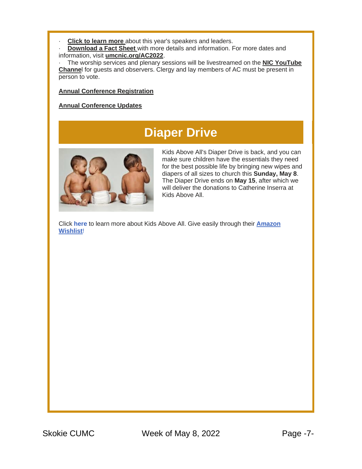**[Click to learn more](https://r20.rs6.net/tn.jsp?f=001ZJdhT3cEUTPj-OcXukoX2oExhxzSxDOfRnfHa4EsgOeacXDYMz6ie4BzVu3v7te4IGgv4YZ7NjXYMorrT7eK9bm97h2BnetjwnU6NP2-Uq9VfKvck9vpAuVOuhI_IE-kJclRXJsr9Fw0f87QdpvILpPvNHzoeEq9qknVZVNqBWU_Cuy3-sjHtugc8dR3FgwLS8Hl2Npn2xa5BO5nylGZ29XVyWGC8jBoIXoCjDZ1heeG5VFW0HZqkHRyi1g27AclPVEcagMFnItUMOZxx3kpq8Fta_4gFvavNHnYIgrNTI4J0pwM2tM5eEkQIR-HgVXVv0TznU991oCkSCM5FqSuD9kSv0C6_R8ZAO43qkMyhKEA4bT48SzuAU_MxoZwLBoFTg1eG2Das1krHB_tmbA9owCFD548UF_fpE8aPHEKCbQ7sfEpVCkGxXoirzS9v1AvEmlFk4C01QfUOZiwo_TM0vfzsjeyvfGbvrnThK1LWgsRRJR3HP75XaQ3lkn1CRJAUX_dJ4FU6iYkvT8B7XEOVxoZYeMop8Pw5cbIIT8npavwZqnNThMYh8YDvUVkGes7LQclr6OGK97Y2DJP7MPw9-oFv4XQTd5n1B44XIGTqp8nyH-kHtRJtJpzhJNTVEuSfueuEyimjcj44XhCgYqmGybeoXCaSMx5e4OuL5wQ-PojUh6PxymJ_HCtZixIjXvuzYxd_VW--2E5SDyLVg4mVh4HdVMVapFNtKZc_oPGWujh9bofOr5ZAeTP9V6JM1u7HEv2buMO1UWuGLpLEl40-muHr4hckq70hlMM13mhtdKTvOd6ydjWqmE4pTNkGHVMfCMdCzwpu5R93RSFOqqdA3UVTA-1HtM_jOXtK7HrBCT_tD05wv7jR9zHhCUxTCoCkYraxdyBx3Wh6kWrcachuUPrxCVfHZrfYHmpqKDdU-1CzdKmKS7xoMmg0fm7DTaZX9q5Bax9k7gRDSYMk92nWrTcuNlouxu1aPJ4gFlJ9Ccy45GtZgZGq9lmkJqpgTZwMhMk0arZnFNSZ91sdjM3Lxus4iV6PuEwr0kESsft4hvyNAY3EJNZ66xICdZ7sKwLY6jFso5BeR2zaKLB5NS1jGV2kZ4OvzGrJkDqDKN4_44IWQxCwNGzBRN4yYM7S-mAALVx_V5lb9_vohUimTFxsTpxghW5tcGrojXLc5sGQcyd9XPHVmwpD1LcBUOEWwmX&c=V7OrDWWNi29Mh_yNmK0lEz7Ig1_8fwzK_Ys9Jsa-zbj3QsPTwtGeig==&ch=Gi8OOTGYMtv3ZLLx-9HXBvCvsqGKFhXmZyxmNjK8Kir9fqOd8eiesQ==)** about this year's speakers and leaders.

· **[Download a Fact Sheet](https://r20.rs6.net/tn.jsp?f=001ZJdhT3cEUTPj-OcXukoX2oExhxzSxDOfRnfHa4EsgOeacXDYMz6ie4BzVu3v7te49w-AQ12Y-mKTX68rTj_wrLuiqgTaFFdggi8ZREm32au4CrEHNXBf2uEwKSiIF2gxuiIQHlGkR5uv8evzUHdqpH9ih7mSpFF1JusDqip3XgJD5s9uxZ_gRuXC06G0YXIog2g_b_mbOxhWdSmDDRI2ka4xcgR7D6TMxMq1STacBxbv3j0tF5zqKpWiMSKNHq0_oj3Pkf4uNI5dR3doBzO6-27aiGzPAsRNIyQpUhmQdwdkVLpqkXd8YxUh02L8OBfK_A5oz6ECLZrvlxRuql5ehqdKdpcidJLfM2yQiKvMkS2YiTD5E0oaunFivFiMExLp3MEM9ODQ8F8Qp6-XzXaDmldIdtEwxdMJpxrlurF2tm6Aef-hOyde9Z4q-Aw2P5tSAf36cLMIKc2jb0kmTV5Vu6HHyhYDlMn0HeunLy1-EMvP85WFEsxMJnx4ZOdi6akZu97AkL7H9j8OZvj1I6Z2XhRnsFyqTnPRYA37y5Md1OU3cWGW1ZXT76e-WP20BdWaFZEa6yyF1euv8WrDxgWkY4znoHqFzVtqo4uijCsiCOUhjURXIjP_crVbarA4co9CQgyQrp96ZUmj27Kh5dwZ6sSeBLL5q1m68o46jojTtzw8lyuAuMXT6drDvijXxdOEqNT_wXoESv7yN7ETQeG-12CpBGThuGN_x6PVdqjynfXu9ctwn2jnPcKIESQ94orSSS_fV8yBns0GNG4VxVsqfSF1nj84ZLNyoVMUqh0nW2J93rvgPsY_3Cb9skkFmqDfw_eHCjD8Ch2A0zYozujD19zPxNNDXuvGpmqAXlbngTQ62gn0OQdPZEEMiY59gRNg0YXlJLDnwj7VIQ9-mJByftCSW8rKz9fMeJ9oV0kVN1ndm9Yuniy7mZzdxB_NarP0lQtkx3NNnF0n6cZ-ii742CAvtA0kmBrWqOKzEguOPrVqCL-7Rju8bAWw-9ykvK8Sd9VV2bJTtHEV7SxcLMwPGqbkTqFVpcXTo2bcMeOhMSO6te2pjRFBrNktp3w5q86PCb50a-m2k1UgIrTctoPhuaTTDBI1YbUYIQzxFxFcSWYsYZZA2d4k2MHX8LebXe-4xSlzwedgYdm056Gf_cyGEnze2qnw6G7gjJpAeeXjDMTaiN8ILd07tRlH_dUa1jXKqvAvftaKHbmzALEJQZMsZFOgopOyHCFX&c=V7OrDWWNi29Mh_yNmK0lEz7Ig1_8fwzK_Ys9Jsa-zbj3QsPTwtGeig==&ch=Gi8OOTGYMtv3ZLLx-9HXBvCvsqGKFhXmZyxmNjK8Kir9fqOd8eiesQ==)** with more details and information. For more dates and information, visit **[umcnic.org/AC2022](https://r20.rs6.net/tn.jsp?f=001ZJdhT3cEUTPj-OcXukoX2oExhxzSxDOfRnfHa4EsgOeacXDYMz6ie4BzVu3v7te4PGHiEP8DR6zeBhgB5GHmz6rSeZXC_Qx8bVk-zNzl9ci7gQk9LeSm2NzKCH4CX4yas4a4wsNjMdpqu4j3YFtu-vYx2CMGyARzFPm8cvYMZAHChUkX22fLNZ3_XGWBjbh25XrvJPJc6adZpo6JCUotJQIXA4N8hWyCfWec1mXONF7dEcgPQHs1AmfWn9kc4KzCC8Zn8Zlr-eLAw5Dlp-uTwVeGoq5tZKL0KGmZ01sX48nyaCHtigSAb0caFalFy3wuuPNRE1dp-4oQsWKa7f8X0UbMfxlFkfmzBu7YQrhTo7H33FE8b0iughsLnOZdwmCcOKNozAR5Z-UuPEkbntt3DIx-6rABj3ez7--X63xHYFjRCiRfvkJOJ7OuHGIfiezBmWh9e258ZE5enoJi86-YWqMwf5nK0u3TMuNWRfBdHH0RrLJho2LM0jH8VjHza__htqf4AIPo6il58YsfPV8OHIDMlY1mK3h5RWujYHPdmZ0zZtTyYiJHqgmuXaZgU0mdMSmY-6vrCW_vy2D6mcvTt2ao2lSPnn2Ffp-KBJsvsn1VSxVBdC5OzLzK4zApvHBEgZgkvCShSAgJF10-z-W1qjgmmqjB0Zd-jnXVZpqE7E-7-eH3lyyYdpUiIMPocF6pA273DMXFir8YPAnFTkdoO_6Licuih8-SxUjwhuFWwl1Vov58bPxIPOpLNyN29kpnhfauF5cniRWoWi3euXnt9AsZnMN2aDT4MfJSHN4HLSBsy2k7vD_TG1rY6yEpepW7JWTN5iGkm0Aj5aQ2mp2FZNIgohEm43ZGWImGnDw3EnTzJR56O8EZlBE_I6gNN-G6AucMb_qdKV7elz1go2uJPUjUYocDRyKrveFzXfPY9O2DolHXGDnX4NqAnuNucC9qvfZUUHhgEwrd4VmuDp_L-JqaxI5R82MlG_LR2iA_8JLXwJxd4bImcao3ysv4rTc7e4ayzTCDWBLCjQTQEsfILeP_2tY8nUQFlfOwOURNbMkqRHhv8nkz_5CSpMpBdl-eFxvUQ7RnVWiLyBEEZ6Ox3AY0uCdCNzMu-TLxVpao5Go=&c=V7OrDWWNi29Mh_yNmK0lEz7Ig1_8fwzK_Ys9Jsa-zbj3QsPTwtGeig==&ch=Gi8OOTGYMtv3ZLLx-9HXBvCvsqGKFhXmZyxmNjK8Kir9fqOd8eiesQ==)**.

The worship services and plenary sessions will be livestreamed on the **[NIC YouTube](https://r20.rs6.net/tn.jsp?f=001ZJdhT3cEUTPj-OcXukoX2oExhxzSxDOfRnfHa4EsgOeacXDYMz6ie4BzVu3v7te4PGuNMGgbSMbJY8WcvsLQEx7cv4CrJ6vwwDs78S2LVljaELaMoo3RH8ccRPfB5C1Nl_hVVljLv2gLsd_4LPwiPUEnyennHnUdy0doLyb0cl1xxzSSUWnj7soR2laMmHjHLxnHVZFXQJDHF6OSKGjk40VQ2sfY4vHkDilWYmSeJgKysn4Z6XPsGNgYUeh11gp-ZxexCHFzUi2catIurqRkzbZAkAuirOY8Bhqtpg8dplCNYBwnt-bhWXcoV1g-hGxbDHB9PazF_X7JdSQX8MORyMWxAKg0aKbGMPnVccNkd6-a83QC5IbXqQrmtgqmUrffVljRx_AUXKw0j6tspkEWW6jYwxPuU2To61FIQfU2Tx6VF40RjYZyCB2XGcNabVEt2I7bpdwrgsLnURscQXBWWvgeyiXjjZahc6fqy7BIvVIZKZEQNojtow3P6E8Xk5yQo5nj3KBSQXYzCwbrEupatE2QaFcEoXBbuApaC8RrYzswq-GNHvswrI_zrruD9Jb-LUnmxBSyx4cTptmN8mUYvyYWEVI6NArT9SIj7AnQFSzFcx_esbQQzGGsjDQ1410lP6nPFvLEu9FZrhjNxm4GTtBHela5cbXOz4W4yieLiU5YWWAesf6O22IkWVbY_CgjdpOnp56LG50iUJjgP-DYAVN09FuuPxYCA-L5s1qQ3JhFUHCoPya34bgdEZyWZp-X2BRd8vejURD8N758WKucVNqxriIkkiVbxREICyxiXZo5GGt9K6n-5VkMMk2PjdH_RRimMMITijRSKLDP05CZ5MQSh5XO8dbFxhdlf_w6emN4atZiVuG1ym1tK_QK0xyg3nnLUiXsFxxXvm8UttR-PUhyI8FcZ0MUiBUlAPruhRJIMuksC-viUhGovTMZWaUDrxBcC13OW0PsrQ6w7zuhFj6q5-7zFGLKTjWIGe5iaZdA6QFQHtlDUMgavwRlCDti3s8hGgD0uU_WosttAPfvYBxXIAcUe39BoIu7iiTbBtkd5NhT2Da15E7TsfFMTiz8Py-FJB4-npUFxaaaSmX-AKHANVplVNtoI8NbyzCKVLRqZm6NfPzQDJtfr5s3L7jMzitT-LClQEOq9Hu51L6cmT6Z0aGr_OdsLikrs1oyrhA=&c=V7OrDWWNi29Mh_yNmK0lEz7Ig1_8fwzK_Ys9Jsa-zbj3QsPTwtGeig==&ch=Gi8OOTGYMtv3ZLLx-9HXBvCvsqGKFhXmZyxmNjK8Kir9fqOd8eiesQ==) [Channe](https://r20.rs6.net/tn.jsp?f=001ZJdhT3cEUTPj-OcXukoX2oExhxzSxDOfRnfHa4EsgOeacXDYMz6ie4BzVu3v7te4PGuNMGgbSMbJY8WcvsLQEx7cv4CrJ6vwwDs78S2LVljaELaMoo3RH8ccRPfB5C1Nl_hVVljLv2gLsd_4LPwiPUEnyennHnUdy0doLyb0cl1xxzSSUWnj7soR2laMmHjHLxnHVZFXQJDHF6OSKGjk40VQ2sfY4vHkDilWYmSeJgKysn4Z6XPsGNgYUeh11gp-ZxexCHFzUi2catIurqRkzbZAkAuirOY8Bhqtpg8dplCNYBwnt-bhWXcoV1g-hGxbDHB9PazF_X7JdSQX8MORyMWxAKg0aKbGMPnVccNkd6-a83QC5IbXqQrmtgqmUrffVljRx_AUXKw0j6tspkEWW6jYwxPuU2To61FIQfU2Tx6VF40RjYZyCB2XGcNabVEt2I7bpdwrgsLnURscQXBWWvgeyiXjjZahc6fqy7BIvVIZKZEQNojtow3P6E8Xk5yQo5nj3KBSQXYzCwbrEupatE2QaFcEoXBbuApaC8RrYzswq-GNHvswrI_zrruD9Jb-LUnmxBSyx4cTptmN8mUYvyYWEVI6NArT9SIj7AnQFSzFcx_esbQQzGGsjDQ1410lP6nPFvLEu9FZrhjNxm4GTtBHela5cbXOz4W4yieLiU5YWWAesf6O22IkWVbY_CgjdpOnp56LG50iUJjgP-DYAVN09FuuPxYCA-L5s1qQ3JhFUHCoPya34bgdEZyWZp-X2BRd8vejURD8N758WKucVNqxriIkkiVbxREICyxiXZo5GGt9K6n-5VkMMk2PjdH_RRimMMITijRSKLDP05CZ5MQSh5XO8dbFxhdlf_w6emN4atZiVuG1ym1tK_QK0xyg3nnLUiXsFxxXvm8UttR-PUhyI8FcZ0MUiBUlAPruhRJIMuksC-viUhGovTMZWaUDrxBcC13OW0PsrQ6w7zuhFj6q5-7zFGLKTjWIGe5iaZdA6QFQHtlDUMgavwRlCDti3s8hGgD0uU_WosttAPfvYBxXIAcUe39BoIu7iiTbBtkd5NhT2Da15E7TsfFMTiz8Py-FJB4-npUFxaaaSmX-AKHANVplVNtoI8NbyzCKVLRqZm6NfPzQDJtfr5s3L7jMzitT-LClQEOq9Hu51L6cmT6Z0aGr_OdsLikrs1oyrhA=&c=V7OrDWWNi29Mh_yNmK0lEz7Ig1_8fwzK_Ys9Jsa-zbj3QsPTwtGeig==&ch=Gi8OOTGYMtv3ZLLx-9HXBvCvsqGKFhXmZyxmNjK8Kir9fqOd8eiesQ==)**l for guests and observers. Clergy and lay members of AC must be present in person to vote.

#### **[Annual Conference Registration](https://r20.rs6.net/tn.jsp?f=001ZJdhT3cEUTPj-OcXukoX2oExhxzSxDOfRnfHa4EsgOeacXDYMz6ie4BzVu3v7te4iOwNdtTV_y66G8r3NVZB5UgLLFnIh6BhNlopI9_3nE3cKi1K34PPetbTQ94sXq-VRUDsOzKWDhhBx4HnEa5y5ou6qlhVGPnXw48BUDCSbS7tCgfF2Dd1u9NMtuGdnDV-vnXEXtYjowpt9-IpaGirKD42jHmxv_v6fv-7d1x8zdQD9yQ5bRA985S-q06M0JOoRiKdHmPLAK3Xgt0_woDwmWJQd5syULumf1D9I7_SXwAixw1HQuAy5EgFBZb7UyBgDOcI7343mnf-guaOdIvYtM09xgGa1LzuV6-kg8X7i5onALi3MI_mW1udeFudQnhQ2HC6rDY2OlQfIAlg4owH7uVL7BlSO2MvHPXoN2yQGIfWn6rMxgVqqZ3O_2IqbPgZB3TjfTFlInWXO6WJ3cJAGt6_m3Xzwae0eRlIrROwHIQ_pEJjwaroshyuUs-pXGy7mQvu7qmzrhwuhDz9F0pCTodi2fal5xH3QUnCnPOWlDDGUIAykzOiGODEqjUV4vMlcOzVhSRY_4vnIoaujL0_BekiYGVKmC9amBnNMTSy96fU7e0G-YBKOcLCqlfJSi0rHWJOolBhGZ04HypCtGwfvvATLhKE09nA08QMcJS8WkyMgmexoUBeaFx5-p6jRkhi7WqS9u_Q1WN557-Pz3jJJOa0M6eNRW9kApLC7sWDOcCpeDVbP2oTKrDOJ6xU2VuO89NxcyHEeaaiQAZSPm6TK5vVqdqvCCPsrk0SHD5ODKBxksb1BRXiYZkajfJbC3DlGQktHyzi_7R3GSr3FGGJXMCIe4N5CIXJT73Hr5rrJfJxSPPc_dGZCphUMAuUAw_tyAXZ2P8_8rgHypqTSGqI6W7AtpvjaN-2c5jIliyy2OqIC0jIBfBtU3BU6TdpXvjq0YUzbLjeQHCdYis2owgSi2V5SNEGhk5RooTugw9a0qhtiTq_NFWkkKBrJd7aXhXwFQt6d0Y1oRqXksLanYoxPiIf1NMC6yFdDLz-Rhqf474in9i3Yuys7ZUYk_ND1RN7ePJifWNGFrAOlUnVL2CRliIly250KiBa&c=V7OrDWWNi29Mh_yNmK0lEz7Ig1_8fwzK_Ys9Jsa-zbj3QsPTwtGeig==&ch=Gi8OOTGYMtv3ZLLx-9HXBvCvsqGKFhXmZyxmNjK8Kir9fqOd8eiesQ==)**

#### **[Annual Conference Updates](https://r20.rs6.net/tn.jsp?f=001ZJdhT3cEUTPj-OcXukoX2oExhxzSxDOfRnfHa4EsgOeacXDYMz6ie4BzVu3v7te4VFkp3BLgYlMR_LdErFHfqOlVpfxA9O3xM0-k4-t7xjt51Gupp5tM-5F4bem6Gxm4WLgh5AHfzoJXvM2qK_nq19dIaiFzAi2ZsXgCitosxJHNkbt8OTdPvz3WvVvseyPe5HGmDUjFocXKHWAgrl_baJsE6OeUyyY0RG76m_XFigRM_0_0cs9HNKbek01gmM4vFtZUsl2TIWjDEYeQlaO-ghAHnJdmV0Jq_szxLdoGQu4-V-i0AxtFJ3aW_z7KAUWDAlOKq-Cd6huWIHcGumqA9op6AD7WvrzI2064ZpUjP56c1gJfN9xUX8mArpTe_Q739aOucfWEuBr2JDTDoEsaM-Kj6KhhutS39XuCqrYFLHxrqib_b7prtNAZvLyBZoOdr0oYmEr6KjT-m6qkIo9dTOpaesgQDQvOEHejHIqSpjW1faybczJYp_cwnx8ZkvWBlbjSwODejt1K5pVT-BFOF_W8kS80JoAqTZogEhQOb0LNQ5KI4T5MNxOENSHUZZ6IT-AXEsApQgi8IuJxSyFZaFi99G-uQgw3FpFBJipngBmLRp2ebNWAWHPgral--O0wBHKnNJfb8OJAIBtPNjp6-Y9Jzn9HH8m2zVI7XlI1jFHeYU79yvwcuPljlXRg6bQBk9IZLHHNxdP9Z4LKxrZhRiyUUzYVAb0XxcQ0mAW9OIJ5FmIR2ZxHHK1riyeT64GHs2Teo2rFyv_UgZlclX9RaMezSSQVKHDbL7pGUxo0ZRoi2C-p4JucHEe7b626kRwIjfikJKbCR1Q09NMD2E9vQy0GD1ENHWBhjSdt0KBRtHPXX3XqFiWzJxnYx8Ptv-KdHbs0m_bee3I5sx4AkELrjBsi_V6-9_nwOc6ge_d-dC2PasKGUBnXjGwFyn13cLzZChizbedXZT4PcumvxNVm9xSMsP79_4umj7Ueced9SEKa6ThQ7Ty05O53X_Um5BzjZaDHlccL6vu10M1Jl5F1bet1to_UTqXPdF-WxLK6tVilucbjUIsc5xBBqh4m3XqmLOyPJK6t2axiGqdqtPPc3qadIcgy6x_b&c=V7OrDWWNi29Mh_yNmK0lEz7Ig1_8fwzK_Ys9Jsa-zbj3QsPTwtGeig==&ch=Gi8OOTGYMtv3ZLLx-9HXBvCvsqGKFhXmZyxmNjK8Kir9fqOd8eiesQ==)**

#### **Diaper Drive**



Kids Above All's Diaper Drive is back, and you can make sure children have the essentials they need for the best possible life by bringing new wipes and diapers of all sizes to church this **Sunday, May 8**. The Diaper Drive ends on **May 15**, after which we will deliver the donations to Catherine Inserra at Kids Above All.

Click **[here](https://r20.rs6.net/tn.jsp?f=001ZJdhT3cEUTPj-OcXukoX2oExhxzSxDOfRnfHa4EsgOeacXDYMz6ieyR5l1YinI_EVLIHlCt4kCyDcWW8_X6T9_PjI_97b-5PezNxfgBtOlejF8Jo39tdo2WTvKHAA3BpdPnVfxOwoz16F1R4nNYjLlYJs2UA32zbDSSHItPP8ug=&c=V7OrDWWNi29Mh_yNmK0lEz7Ig1_8fwzK_Ys9Jsa-zbj3QsPTwtGeig==&ch=Gi8OOTGYMtv3ZLLx-9HXBvCvsqGKFhXmZyxmNjK8Kir9fqOd8eiesQ==)** to learn more about Kids Above All. Give easily through their **[Amazon](https://r20.rs6.net/tn.jsp?f=001ZJdhT3cEUTPj-OcXukoX2oExhxzSxDOfRnfHa4EsgOeacXDYMz6ieyR5l1YinI_EPLQGdw8aC4w9ap1ZfmhE6YxFWP4mvAKGJr-P7Gi8rZZzrOk5gUG5sG3QjBZSQSpknM9utTdtOlgaqrABThaATT_pbHInRe8m1dyvzr7MHyRmVY5qhyBOtyfCiZNI5JqWJNGFWWl7VjMId4gIabZuR1wcwLA4MAAF6_uhDi8q9y8svPvyQiwHYNkCtLCCNXHb9-eJ5j98mr6K9YcJPdacnmyJAgnZoUiBt4pKyGVJGvzFimblu17GYvGe8mPMmB9Nyj2mJ9edUjJAnzArd8ywDhRIU3D9mkY3JxXBOuFzGhZvqmeZ5mw4o9CgJnG6cj9qlY1pLnmU1PrMmbDQITzMHUmpFs7h_kUxEw4NIAxmZp6n7X3KQRNZS3YAfTYAgBb8UgLPkW1P_TwkM8H0EmVlFnBpGEBFPfkgYUMNKbIBtuwTHolCPEMPFHXhfBiWFutPh9Hc4R-FbIWHhmqvHTfwuARwIt4o_FQuSF4I6WLn9y_1fcYlKRGNn6X69uP2l2Uy4Z1yJg3PSNO0nP4oLpgZoVs4jIM1XvRpoVjCeQ6iZO4-TWZe5kaixI0tB0k_2m748O93zA7XWjrD2JVrsafhYxI60HtBfTj_7z247fCtYjYP2jqhMn4EcAyj25zj2m75-sh2hBEpyiqcWbNYZOmrCtRIBhQ8OtK6WPrAS2ZztXY-zsvnXllprLMIHI8CDjVhqWuVkWo8oqUhq-M1MWUG85paATbSatn_cF3XXldmfovwErReJ0eJRQ==&c=V7OrDWWNi29Mh_yNmK0lEz7Ig1_8fwzK_Ys9Jsa-zbj3QsPTwtGeig==&ch=Gi8OOTGYMtv3ZLLx-9HXBvCvsqGKFhXmZyxmNjK8Kir9fqOd8eiesQ==)  [Wishlist](https://r20.rs6.net/tn.jsp?f=001ZJdhT3cEUTPj-OcXukoX2oExhxzSxDOfRnfHa4EsgOeacXDYMz6ieyR5l1YinI_EPLQGdw8aC4w9ap1ZfmhE6YxFWP4mvAKGJr-P7Gi8rZZzrOk5gUG5sG3QjBZSQSpknM9utTdtOlgaqrABThaATT_pbHInRe8m1dyvzr7MHyRmVY5qhyBOtyfCiZNI5JqWJNGFWWl7VjMId4gIabZuR1wcwLA4MAAF6_uhDi8q9y8svPvyQiwHYNkCtLCCNXHb9-eJ5j98mr6K9YcJPdacnmyJAgnZoUiBt4pKyGVJGvzFimblu17GYvGe8mPMmB9Nyj2mJ9edUjJAnzArd8ywDhRIU3D9mkY3JxXBOuFzGhZvqmeZ5mw4o9CgJnG6cj9qlY1pLnmU1PrMmbDQITzMHUmpFs7h_kUxEw4NIAxmZp6n7X3KQRNZS3YAfTYAgBb8UgLPkW1P_TwkM8H0EmVlFnBpGEBFPfkgYUMNKbIBtuwTHolCPEMPFHXhfBiWFutPh9Hc4R-FbIWHhmqvHTfwuARwIt4o_FQuSF4I6WLn9y_1fcYlKRGNn6X69uP2l2Uy4Z1yJg3PSNO0nP4oLpgZoVs4jIM1XvRpoVjCeQ6iZO4-TWZe5kaixI0tB0k_2m748O93zA7XWjrD2JVrsafhYxI60HtBfTj_7z247fCtYjYP2jqhMn4EcAyj25zj2m75-sh2hBEpyiqcWbNYZOmrCtRIBhQ8OtK6WPrAS2ZztXY-zsvnXllprLMIHI8CDjVhqWuVkWo8oqUhq-M1MWUG85paATbSatn_cF3XXldmfovwErReJ0eJRQ==&c=V7OrDWWNi29Mh_yNmK0lEz7Ig1_8fwzK_Ys9Jsa-zbj3QsPTwtGeig==&ch=Gi8OOTGYMtv3ZLLx-9HXBvCvsqGKFhXmZyxmNjK8Kir9fqOd8eiesQ==)**!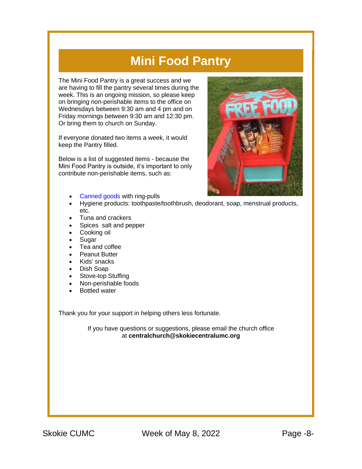#### **Mini Food Pantry**

The Mini Food Pantry is a great success and we are having to fill the pantry several times during the week. This is an ongoing mission, so please keep on bringing non-perishable items to the office on Wednesdays between 9:30 am and 4 pm and on Friday mornings between 9:30 am and 12:30 pm. Or bring them to church on Sunday.

If everyone donated two items a week, it would keep the Pantry filled.

Below is a list of suggested items - because the Mini Food Pantry is outside, it's important to only contribute non-perishable items, such as:



- [Canned goods](https://r20.rs6.net/tn.jsp?f=001ZJdhT3cEUTPj-OcXukoX2oExhxzSxDOfRnfHa4EsgOeacXDYMz6ie0Mu62h8H88aOfl9bpJdXUI8hH8GM_K60GGWFfW1VnP_P1_mutbn08BQ_OrN3ra609CZ7S8g1XfwIZFSxUAXPhacuqUtbUh7mlm0Tl737McJzXoQXHO-FsqrmpzM0GMkdWBqvtOqPBsCoHvKAZQNDk_DW9zKKVgVVUSFviA2whUxjtIS5kM1yio=&c=V7OrDWWNi29Mh_yNmK0lEz7Ig1_8fwzK_Ys9Jsa-zbj3QsPTwtGeig==&ch=Gi8OOTGYMtv3ZLLx-9HXBvCvsqGKFhXmZyxmNjK8Kir9fqOd8eiesQ==) with ring-pulls
- Hygiene products: toothpaste/toothbrush, deodorant, soap, menstrual products, etc.
- Tuna and crackers
- Spices salt and pepper
- Cooking oil
- **Sugar**
- Tea and coffee
- **Peanut Butter**
- Kids' snacks
- Dish Soap
- Stove-top Stuffing
- Non-perishable foods
- Bottled water

Thank you for your support in helping others less fortunate.

If you have questions or suggestions, please email the church office at **[centralchurch@skokiecentralumc.org](mailto:centralchurch@skokiecentralumc.org)**